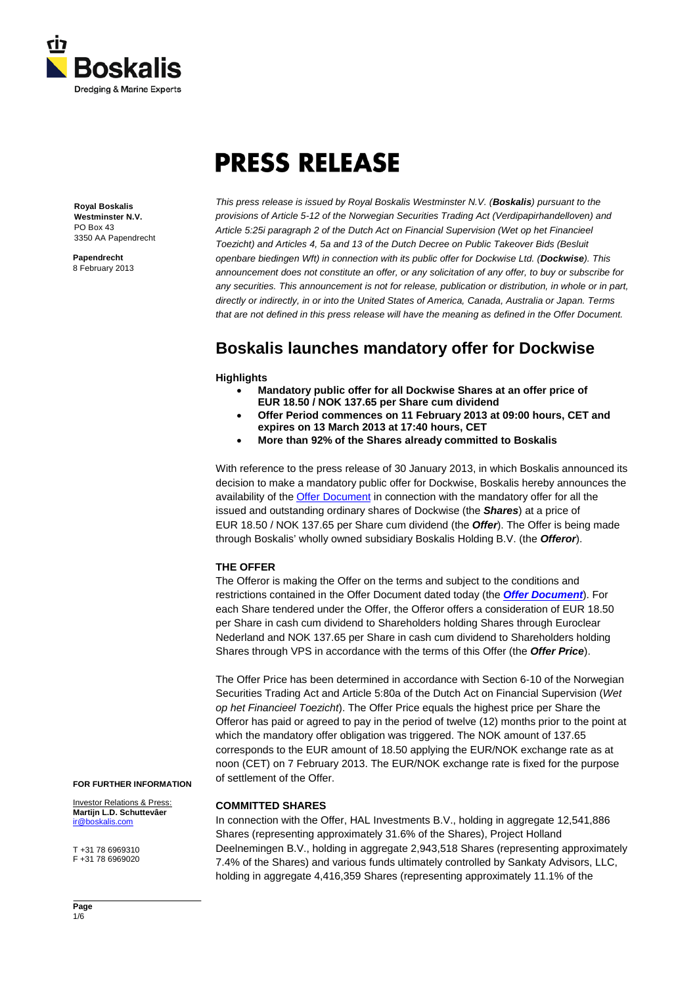

**Royal Boskalis Westminster N.V.** PO Box 43 3350 AA Papendrecht

**Papendrecht** 8 February 2013 *This press release is issued by Royal Boskalis Westminster N.V. (Boskalis) pursuant to the provisions of Article 5-12 of the Norwegian Securities Trading Act (Verdipapirhandelloven) and Article 5:25i paragraph 2 of the Dutch Act on Financial Supervision (Wet op het Financieel Toezicht) and Articles 4, 5a and 13 of the Dutch Decree on Public Takeover Bids (Besluit openbare biedingen Wft) in connection with its public offer for Dockwise Ltd. (Dockwise). This announcement does not constitute an offer, or any solicitation of any offer, to buy or subscribe for any securities. This announcement is not for release, publication or distribution, in whole or in part, directly or indirectly, in or into the United States of America, Canada, Australia or Japan. Terms that are not defined in this press release will have the meaning as defined in the Offer Document.*

# **Boskalis launches mandatory offer for Dockwise**

#### **Highlights**

- **Mandatory public offer for all Dockwise Shares at an offer price of EUR 18.50 / NOK 137.65 per Share cum dividend**
- **Offer Period commences on 11 February 2013 at 09:00 hours, CET and expires on 13 March 2013 at 17:40 hours, CET**
- **More than 92% of the Shares already committed to Boskalis**

With reference to the press release of 30 January 2013, in which Boskalis announced its decision to make a mandatory public offer for Dockwise, Boskalis hereby announces the availability of th[e Offer Document](http://hugin.info/130721/R/1676594/546500.pdf) in connection with the mandatory offer for all the issued and outstanding ordinary shares of Dockwise (the *Shares*) at a price of EUR 18.50 / NOK 137.65 per Share cum dividend (the *Offer*). The Offer is being made through Boskalis' wholly owned subsidiary Boskalis Holding B.V. (the *Offeror*).

### **THE OFFER**

The Offeror is making the Offer on the terms and subject to the conditions and restrictions contained in the Offer Document dated today (the *[Offer Document](http://hugin.info/130721/R/1676594/546500.pdf)*). For each Share tendered under the Offer, the Offeror offers a consideration of EUR 18.50 per Share in cash cum dividend to Shareholders holding Shares through Euroclear Nederland and NOK 137.65 per Share in cash cum dividend to Shareholders holding Shares through VPS in accordance with the terms of this Offer (the *Offer Price*).

The Offer Price has been determined in accordance with Section 6-10 of the Norwegian Securities Trading Act and Article 5:80a of the Dutch Act on Financial Supervision (*Wet op het Financieel Toezicht*). The Offer Price equals the highest price per Share the Offeror has paid or agreed to pay in the period of twelve (12) months prior to the point at which the mandatory offer obligation was triggered. The NOK amount of 137.65 corresponds to the EUR amount of 18.50 applying the EUR/NOK exchange rate as at noon (CET) on 7 February 2013. The EUR/NOK exchange rate is fixed for the purpose of settlement of the Offer.

#### **COMMITTED SHARES**

In connection with the Offer, HAL Investments B.V., holding in aggregate 12,541,886 Shares (representing approximately 31.6% of the Shares), Project Holland Deelnemingen B.V., holding in aggregate 2,943,518 Shares (representing approximately 7.4% of the Shares) and various funds ultimately controlled by Sankaty Advisors, LLC, holding in aggregate 4,416,359 Shares (representing approximately 11.1% of the

**FOR FURTHER INFORMATION**

Investor Relations & Press: **Martijn L.D. Schuttevâer** [ir@boskalis.com](mailto:ir@boskalis.com)

T +31 78 6969310 F +31 78 6969020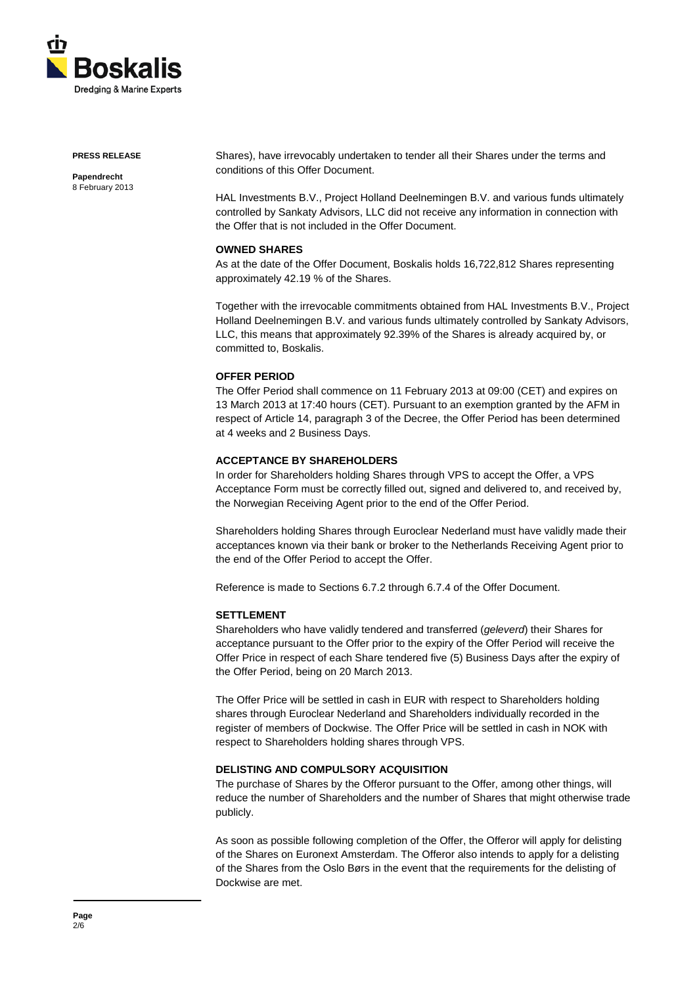

**Papendrecht** 8 February 2013 Shares), have irrevocably undertaken to tender all their Shares under the terms and conditions of this Offer Document.

HAL Investments B.V., Project Holland Deelnemingen B.V. and various funds ultimately controlled by Sankaty Advisors, LLC did not receive any information in connection with the Offer that is not included in the Offer Document.

# **OWNED SHARES**

As at the date of the Offer Document, Boskalis holds 16,722,812 Shares representing approximately 42.19 % of the Shares.

Together with the irrevocable commitments obtained from HAL Investments B.V., Project Holland Deelnemingen B.V. and various funds ultimately controlled by Sankaty Advisors, LLC, this means that approximately 92.39% of the Shares is already acquired by, or committed to, Boskalis.

#### **OFFER PERIOD**

The Offer Period shall commence on 11 February 2013 at 09:00 (CET) and expires on 13 March 2013 at 17:40 hours (CET). Pursuant to an exemption granted by the AFM in respect of Article 14, paragraph 3 of the Decree, the Offer Period has been determined at 4 weeks and 2 Business Days.

# **ACCEPTANCE BY SHAREHOLDERS**

In order for Shareholders holding Shares through VPS to accept the Offer, a VPS Acceptance Form must be correctly filled out, signed and delivered to, and received by, the Norwegian Receiving Agent prior to the end of the Offer Period.

Shareholders holding Shares through Euroclear Nederland must have validly made their acceptances known via their bank or broker to the Netherlands Receiving Agent prior to the end of the Offer Period to accept the Offer.

Reference is made to Sections 6.7.2 through 6.7.4 of the Offer Document.

#### **SETTLEMENT**

Shareholders who have validly tendered and transferred (*geleverd*) their Shares for acceptance pursuant to the Offer prior to the expiry of the Offer Period will receive the Offer Price in respect of each Share tendered five (5) Business Days after the expiry of the Offer Period, being on 20 March 2013.

The Offer Price will be settled in cash in EUR with respect to Shareholders holding shares through Euroclear Nederland and Shareholders individually recorded in the register of members of Dockwise. The Offer Price will be settled in cash in NOK with respect to Shareholders holding shares through VPS.

# **DELISTING AND COMPULSORY ACQUISITION**

The purchase of Shares by the Offeror pursuant to the Offer, among other things, will reduce the number of Shareholders and the number of Shares that might otherwise trade publicly.

As soon as possible following completion of the Offer, the Offeror will apply for delisting of the Shares on Euronext Amsterdam. The Offeror also intends to apply for a delisting of the Shares from the Oslo Børs in the event that the requirements for the delisting of Dockwise are met.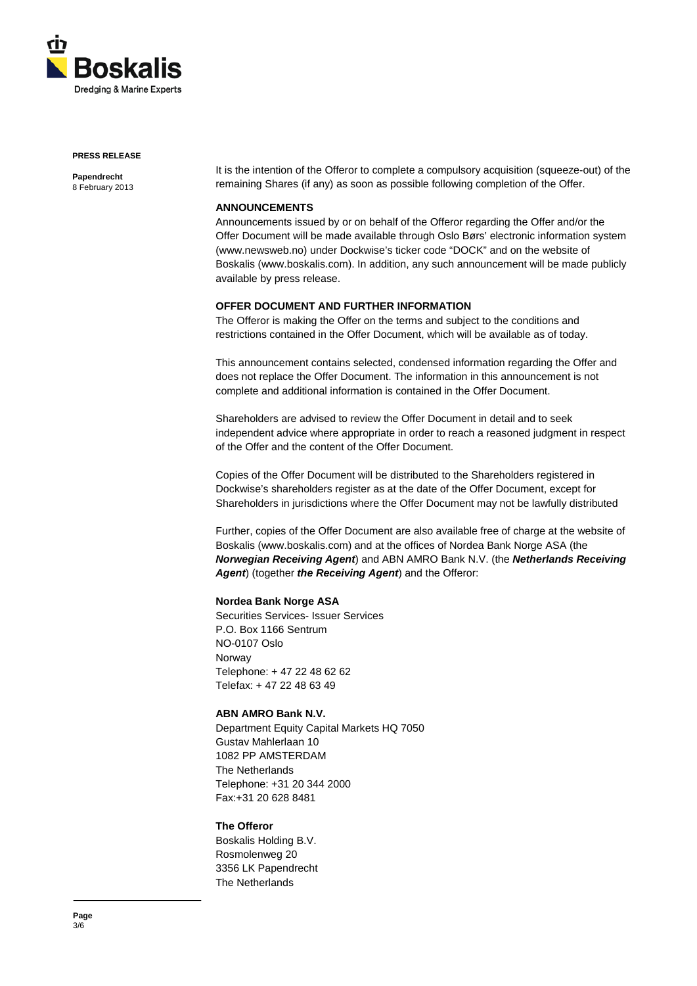

**Papendrecht** 8 February 2013 It is the intention of the Offeror to complete a compulsory acquisition (squeeze-out) of the remaining Shares (if any) as soon as possible following completion of the Offer.

#### **ANNOUNCEMENTS**

Announcements issued by or on behalf of the Offeror regarding the Offer and/or the Offer Document will be made available through Oslo Børs' electronic information system (www.newsweb.no) under Dockwise's ticker code "DOCK" and on the website of Boskalis (www.boskalis.com). In addition, any such announcement will be made publicly available by press release.

#### **OFFER DOCUMENT AND FURTHER INFORMATION**

The Offeror is making the Offer on the terms and subject to the conditions and restrictions contained in the Offer Document, which will be available as of today.

This announcement contains selected, condensed information regarding the Offer and does not replace the Offer Document. The information in this announcement is not complete and additional information is contained in the Offer Document.

Shareholders are advised to review the Offer Document in detail and to seek independent advice where appropriate in order to reach a reasoned judgment in respect of the Offer and the content of the Offer Document.

Copies of the Offer Document will be distributed to the Shareholders registered in Dockwise's shareholders register as at the date of the Offer Document, except for Shareholders in jurisdictions where the Offer Document may not be lawfully distributed

Further, copies of the Offer Document are also available free of charge at the website of Boskalis (www.boskalis.com) and at the offices of Nordea Bank Norge ASA (the *Norwegian Receiving Agent*) and ABN AMRO Bank N.V. (the *Netherlands Receiving Agent*) (together *the Receiving Agent*) and the Offeror:

#### **Nordea Bank Norge ASA**

Securities Services- Issuer Services P.O. Box 1166 Sentrum NO-0107 Oslo Norway Telephone: + 47 22 48 62 62 Telefax: + 47 22 48 63 49

# **ABN AMRO Bank N.V.**

Department Equity Capital Markets HQ 7050 Gustav Mahlerlaan 10 1082 PP AMSTERDAM The Netherlands Telephone: +31 20 344 2000 Fax:+31 20 628 8481

#### **The Offeror**

Boskalis Holding B.V. Rosmolenweg 20 3356 LK Papendrecht The Netherlands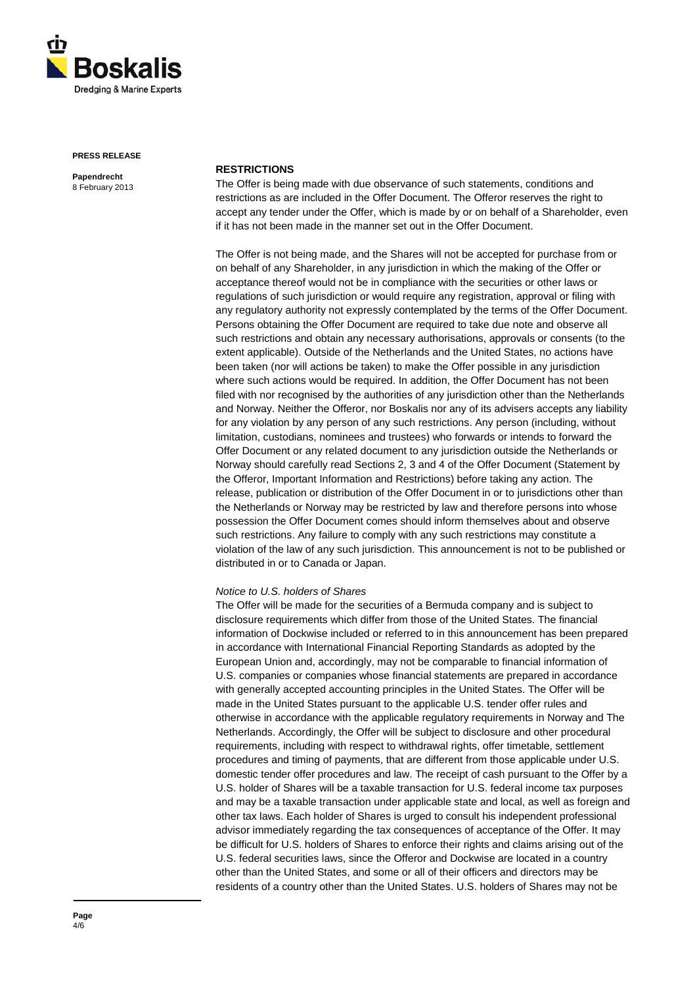

**Papendrecht** 8 February 2013

#### **RESTRICTIONS**

The Offer is being made with due observance of such statements, conditions and restrictions as are included in the Offer Document. The Offeror reserves the right to accept any tender under the Offer, which is made by or on behalf of a Shareholder, even if it has not been made in the manner set out in the Offer Document.

The Offer is not being made, and the Shares will not be accepted for purchase from or on behalf of any Shareholder, in any jurisdiction in which the making of the Offer or acceptance thereof would not be in compliance with the securities or other laws or regulations of such jurisdiction or would require any registration, approval or filing with any regulatory authority not expressly contemplated by the terms of the Offer Document. Persons obtaining the Offer Document are required to take due note and observe all such restrictions and obtain any necessary authorisations, approvals or consents (to the extent applicable). Outside of the Netherlands and the United States, no actions have been taken (nor will actions be taken) to make the Offer possible in any jurisdiction where such actions would be required. In addition, the Offer Document has not been filed with nor recognised by the authorities of any jurisdiction other than the Netherlands and Norway. Neither the Offeror, nor Boskalis nor any of its advisers accepts any liability for any violation by any person of any such restrictions. Any person (including, without limitation, custodians, nominees and trustees) who forwards or intends to forward the Offer Document or any related document to any jurisdiction outside the Netherlands or Norway should carefully read Sections 2, 3 and 4 of the Offer Document (Statement by the Offeror, Important Information and Restrictions) before taking any action. The release, publication or distribution of the Offer Document in or to jurisdictions other than the Netherlands or Norway may be restricted by law and therefore persons into whose possession the Offer Document comes should inform themselves about and observe such restrictions. Any failure to comply with any such restrictions may constitute a violation of the law of any such jurisdiction. This announcement is not to be published or distributed in or to Canada or Japan.

#### *Notice to U.S. holders of Shares*

The Offer will be made for the securities of a Bermuda company and is subject to disclosure requirements which differ from those of the United States. The financial information of Dockwise included or referred to in this announcement has been prepared in accordance with International Financial Reporting Standards as adopted by the European Union and, accordingly, may not be comparable to financial information of U.S. companies or companies whose financial statements are prepared in accordance with generally accepted accounting principles in the United States. The Offer will be made in the United States pursuant to the applicable U.S. tender offer rules and otherwise in accordance with the applicable regulatory requirements in Norway and The Netherlands. Accordingly, the Offer will be subject to disclosure and other procedural requirements, including with respect to withdrawal rights, offer timetable, settlement procedures and timing of payments, that are different from those applicable under U.S. domestic tender offer procedures and law. The receipt of cash pursuant to the Offer by a U.S. holder of Shares will be a taxable transaction for U.S. federal income tax purposes and may be a taxable transaction under applicable state and local, as well as foreign and other tax laws. Each holder of Shares is urged to consult his independent professional advisor immediately regarding the tax consequences of acceptance of the Offer. It may be difficult for U.S. holders of Shares to enforce their rights and claims arising out of the U.S. federal securities laws, since the Offeror and Dockwise are located in a country other than the United States, and some or all of their officers and directors may be residents of a country other than the United States. U.S. holders of Shares may not be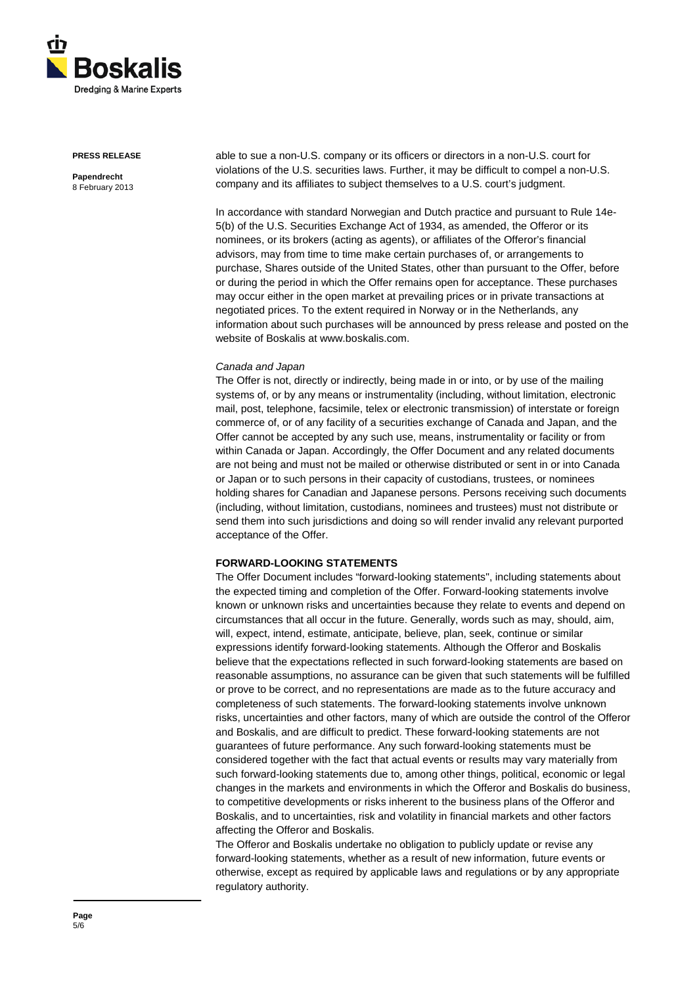

**Papendrecht** 8 February 2013 able to sue a non-U.S. company or its officers or directors in a non-U.S. court for violations of the U.S. securities laws. Further, it may be difficult to compel a non-U.S. company and its affiliates to subject themselves to a U.S. court's judgment.

In accordance with standard Norwegian and Dutch practice and pursuant to Rule 14e-5(b) of the U.S. Securities Exchange Act of 1934, as amended, the Offeror or its nominees, or its brokers (acting as agents), or affiliates of the Offeror's financial advisors, may from time to time make certain purchases of, or arrangements to purchase, Shares outside of the United States, other than pursuant to the Offer, before or during the period in which the Offer remains open for acceptance. These purchases may occur either in the open market at prevailing prices or in private transactions at negotiated prices. To the extent required in Norway or in the Netherlands, any information about such purchases will be announced by press release and posted on the website of Boskalis at www.boskalis.com.

### *Canada and Japan*

The Offer is not, directly or indirectly, being made in or into, or by use of the mailing systems of, or by any means or instrumentality (including, without limitation, electronic mail, post, telephone, facsimile, telex or electronic transmission) of interstate or foreign commerce of, or of any facility of a securities exchange of Canada and Japan, and the Offer cannot be accepted by any such use, means, instrumentality or facility or from within Canada or Japan. Accordingly, the Offer Document and any related documents are not being and must not be mailed or otherwise distributed or sent in or into Canada or Japan or to such persons in their capacity of custodians, trustees, or nominees holding shares for Canadian and Japanese persons. Persons receiving such documents (including, without limitation, custodians, nominees and trustees) must not distribute or send them into such jurisdictions and doing so will render invalid any relevant purported acceptance of the Offer.

# **FORWARD-LOOKING STATEMENTS**

The Offer Document includes "forward-looking statements", including statements about the expected timing and completion of the Offer. Forward-looking statements involve known or unknown risks and uncertainties because they relate to events and depend on circumstances that all occur in the future. Generally, words such as may, should, aim, will, expect, intend, estimate, anticipate, believe, plan, seek, continue or similar expressions identify forward-looking statements. Although the Offeror and Boskalis believe that the expectations reflected in such forward-looking statements are based on reasonable assumptions, no assurance can be given that such statements will be fulfilled or prove to be correct, and no representations are made as to the future accuracy and completeness of such statements. The forward-looking statements involve unknown risks, uncertainties and other factors, many of which are outside the control of the Offeror and Boskalis, and are difficult to predict. These forward-looking statements are not guarantees of future performance. Any such forward-looking statements must be considered together with the fact that actual events or results may vary materially from such forward-looking statements due to, among other things, political, economic or legal changes in the markets and environments in which the Offeror and Boskalis do business, to competitive developments or risks inherent to the business plans of the Offeror and Boskalis, and to uncertainties, risk and volatility in financial markets and other factors affecting the Offeror and Boskalis.

The Offeror and Boskalis undertake no obligation to publicly update or revise any forward-looking statements, whether as a result of new information, future events or otherwise, except as required by applicable laws and regulations or by any appropriate regulatory authority.